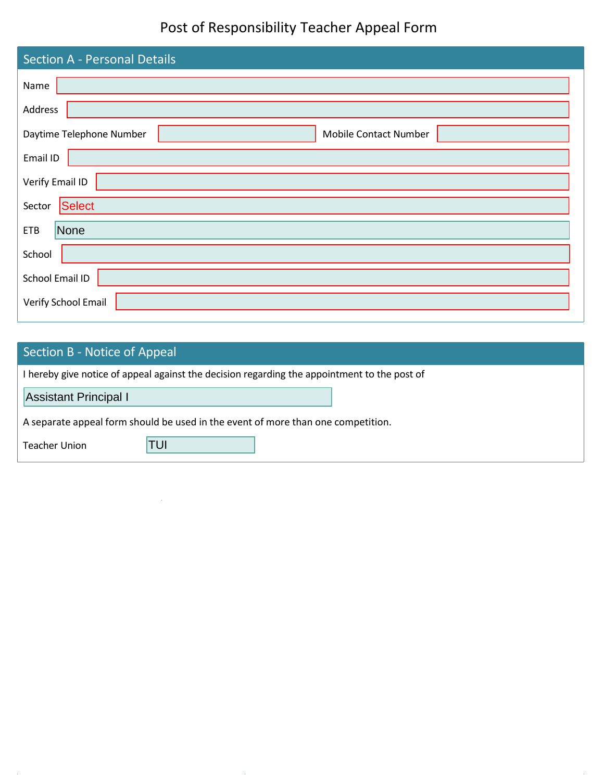## Post of Responsibility Teacher Appeal Form

| <b>Section A - Personal Details</b>               |  |  |  |  |  |
|---------------------------------------------------|--|--|--|--|--|
| Name                                              |  |  |  |  |  |
| Address                                           |  |  |  |  |  |
| Daytime Telephone Number<br>Mobile Contact Number |  |  |  |  |  |
| Email ID                                          |  |  |  |  |  |
| Verify Email ID                                   |  |  |  |  |  |
| Select<br>Sector                                  |  |  |  |  |  |
| <b>ETB</b><br>None                                |  |  |  |  |  |
| School                                            |  |  |  |  |  |
| School Email ID                                   |  |  |  |  |  |
| Verify School Email                               |  |  |  |  |  |

## Section B - Notice of Appeal I hereby give notice of appeal against the decision regarding the appointment to the post of A separate appeal form should be used in the event of more than one competition. Teacher Union Assistant Principal I TUI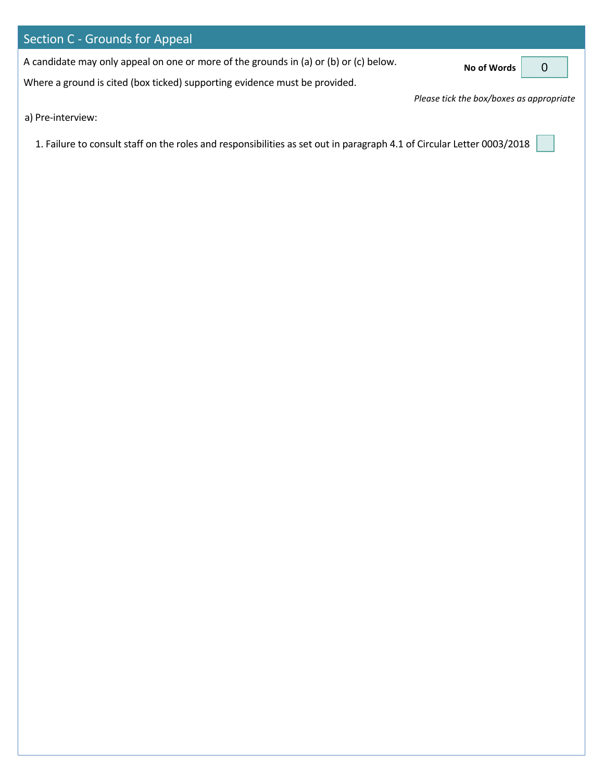| Section C - Grounds for Appeal                                                        |                                                    |  |
|---------------------------------------------------------------------------------------|----------------------------------------------------|--|
| A candidate may only appeal on one or more of the grounds in (a) or (b) or (c) below. | No of Words $\begin{bmatrix} 0 \\ 0 \end{bmatrix}$ |  |
| Where a ground is cited (box ticked) supporting evidence must be provided.            |                                                    |  |
|                                                                                       | Please tick the box/boxes as appropriate           |  |
| a) Pre-interview:                                                                     |                                                    |  |

1. Failure to consult staff on the roles and responsibilities as set out in paragraph 4.1 of Circular Letter 0003/2018  $\Big[$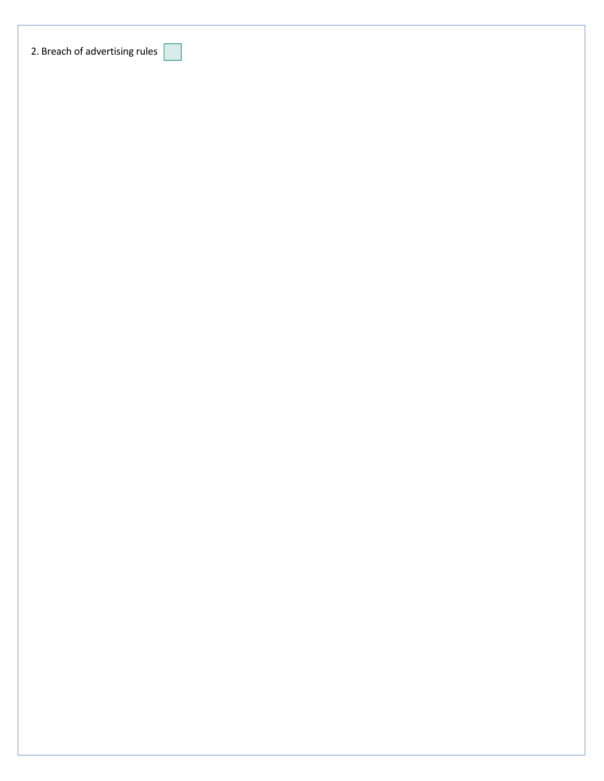| 2. Breach of advertising rules |
|--------------------------------|
|                                |
|                                |
|                                |
|                                |
|                                |
|                                |
|                                |
|                                |
|                                |
|                                |
|                                |
|                                |
|                                |
|                                |
|                                |
|                                |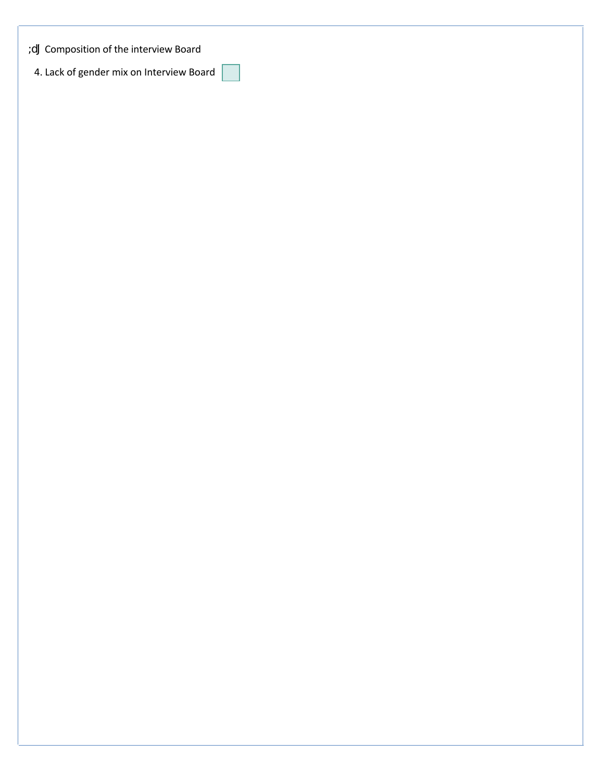Composition of the interview Board

4. Lack of gender mix on Interview Board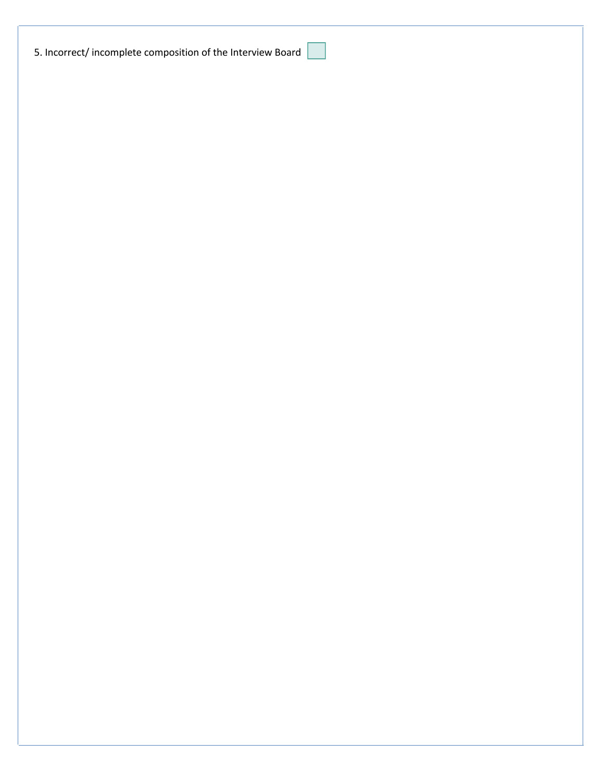|  |  |  |  |  | 5. Incorrect/incomplete composition of the Interview Board |
|--|--|--|--|--|------------------------------------------------------------|
|--|--|--|--|--|------------------------------------------------------------|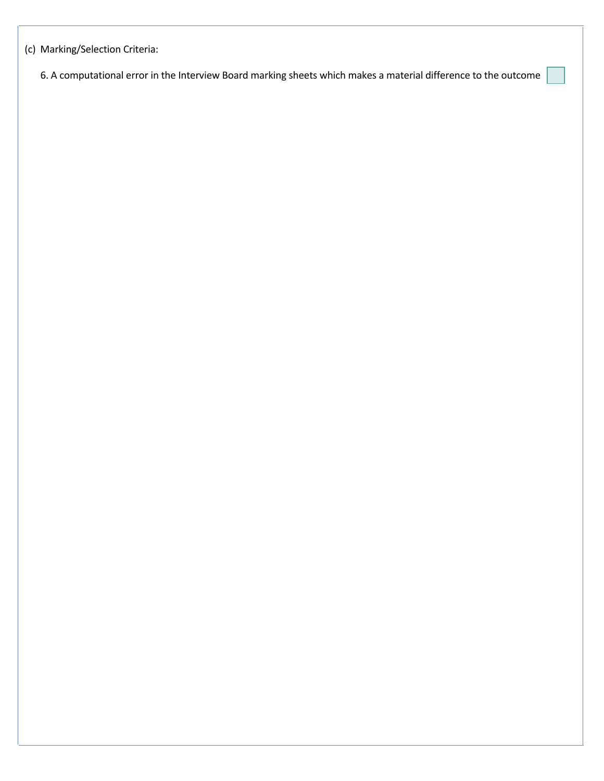(c) Marking/Selection Criteria:

6. A computational error in the Interview Board marking sheets which makes a material difference to the outcome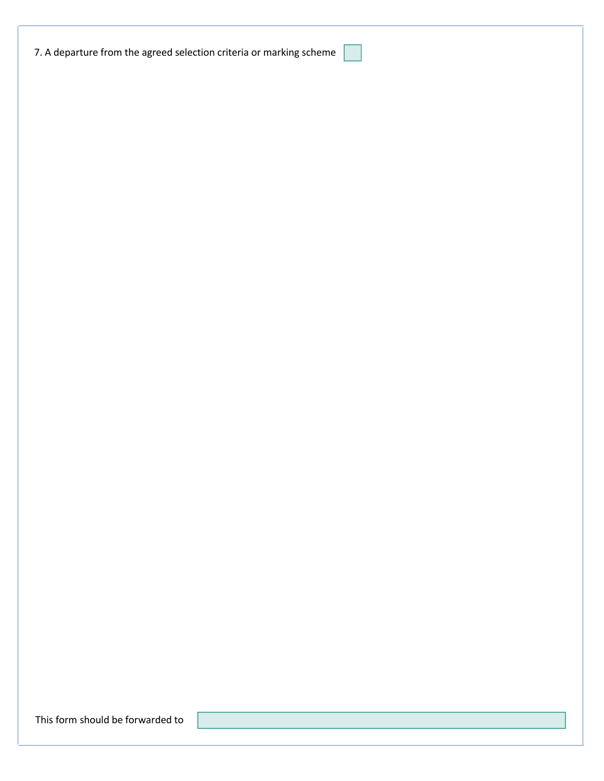This form should be forwarded to